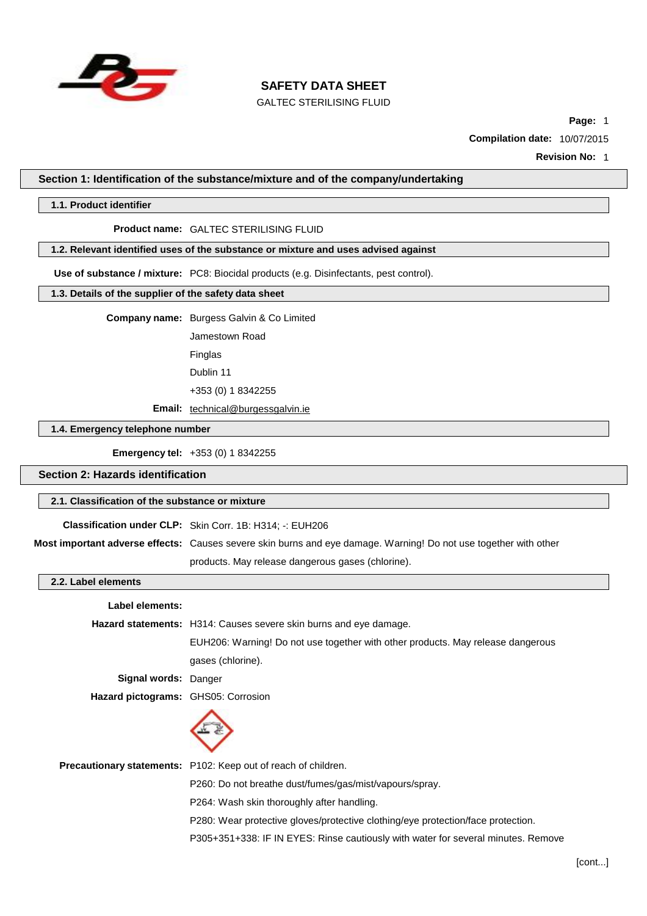

GALTEC STERILISING FLUID

**Page:** 1

**Compilation date:** 10/07/2015

**Revision No:** 1

#### **Section 1: Identification of the substance/mixture and of the company/undertaking**

#### **1.1. Product identifier**

#### **Product name:** GALTEC STERILISING FLUID

## **1.2. Relevant identified uses of the substance or mixture and uses advised against**

**Use of substance / mixture:** PC8: Biocidal products (e.g. Disinfectants, pest control).

## **1.3. Details of the supplier of the safety data sheet**

**Company name:** Burgess Galvin & Co Limited

Jamestown Road Finglas

Dublin 11

+353 (0) 1 8342255

**Email:** [technical@burgessgalvin.ie](mailto:technical@burgessgalvin.ie)

## **1.4. Emergency telephone number**

**Emergency tel:** +353 (0) 1 8342255

#### **Section 2: Hazards identification**

#### **2.1. Classification of the substance or mixture**

**Classification under CLP:** Skin Corr. 1B: H314; -: EUH206

**Most important adverse effects:** Causes severe skin burns and eye damage. Warning! Do not use together with other

products. May release dangerous gases (chlorine).

#### **2.2. Label elements**

| Label elements:                     |                                                                                   |  |  |
|-------------------------------------|-----------------------------------------------------------------------------------|--|--|
|                                     | <b>Hazard statements:</b> H314: Causes severe skin burns and eye damage.          |  |  |
|                                     | EUH206: Warning! Do not use together with other products. May release dangerous   |  |  |
|                                     | gases (chlorine).                                                                 |  |  |
| Signal words: Danger                |                                                                                   |  |  |
| Hazard pictograms: GHS05: Corrosion |                                                                                   |  |  |
|                                     |                                                                                   |  |  |
|                                     | <b>Precautionary statements:</b> P102: Keep out of reach of children.             |  |  |
|                                     | P260: Do not breathe dust/fumes/gas/mist/vapours/spray.                           |  |  |
|                                     | P264: Wash skin thoroughly after handling.                                        |  |  |
|                                     | P280: Wear protective gloves/protective clothing/eye protection/face protection.  |  |  |
|                                     | P305+351+338: IF IN EYES: Rinse cautiously with water for several minutes. Remove |  |  |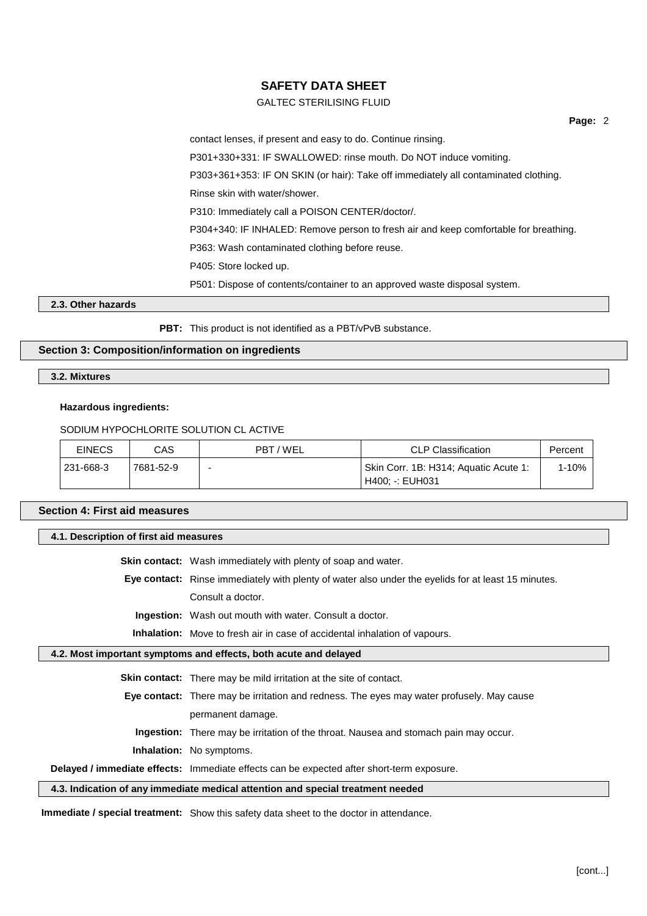## GALTEC STERILISING FLUID

**Page:** 2

contact lenses, if present and easy to do. Continue rinsing. P301+330+331: IF SWALLOWED: rinse mouth. Do NOT induce vomiting. P303+361+353: IF ON SKIN (or hair): Take off immediately all contaminated clothing. Rinse skin with water/shower. P310: Immediately call a POISON CENTER/doctor/. P304+340: IF INHALED: Remove person to fresh air and keep comfortable for breathing. P363: Wash contaminated clothing before reuse. P405: Store locked up. P501: Dispose of contents/container to an approved waste disposal system.

#### **2.3. Other hazards**

**PBT:** This product is not identified as a PBT/vPvB substance.

## **Section 3: Composition/information on ingredients**

**3.2. Mixtures**

#### **Hazardous ingredients:**

#### SODIUM HYPOCHLORITE SOLUTION CL ACTIVE

| <b>EINECS</b> | CAS       | PBT / WEL | <b>CLP Classification</b>                                | Percent |
|---------------|-----------|-----------|----------------------------------------------------------|---------|
| 231-668-3     | 7681-52-9 | -         | Skin Corr. 1B: H314; Aquatic Acute 1:<br>H400: -: EUH031 | 1-10%   |

#### **Section 4: First aid measures**

# **4.1. Description of first aid measures Skin contact:** Wash immediately with plenty of soap and water. **Eye contact:** Rinse immediately with plenty of water also under the eyelids for at least 15 minutes. Consult a doctor. **Ingestion:** Wash out mouth with water. Consult a doctor. **Inhalation:** Move to fresh air in case of accidental inhalation of vapours. **4.2. Most important symptoms and effects, both acute and delayed Skin contact:** There may be mild irritation at the site of contact. **Eye contact:** There may be irritation and redness. The eyes may water profusely. May cause permanent damage.

**Ingestion:** There may be irritation of the throat. Nausea and stomach pain may occur.

**Inhalation:** No symptoms.

**Delayed / immediate effects:** Immediate effects can be expected after short-term exposure.

## **4.3. Indication of any immediate medical attention and special treatment needed**

**Immediate / special treatment:** Show this safety data sheet to the doctor in attendance.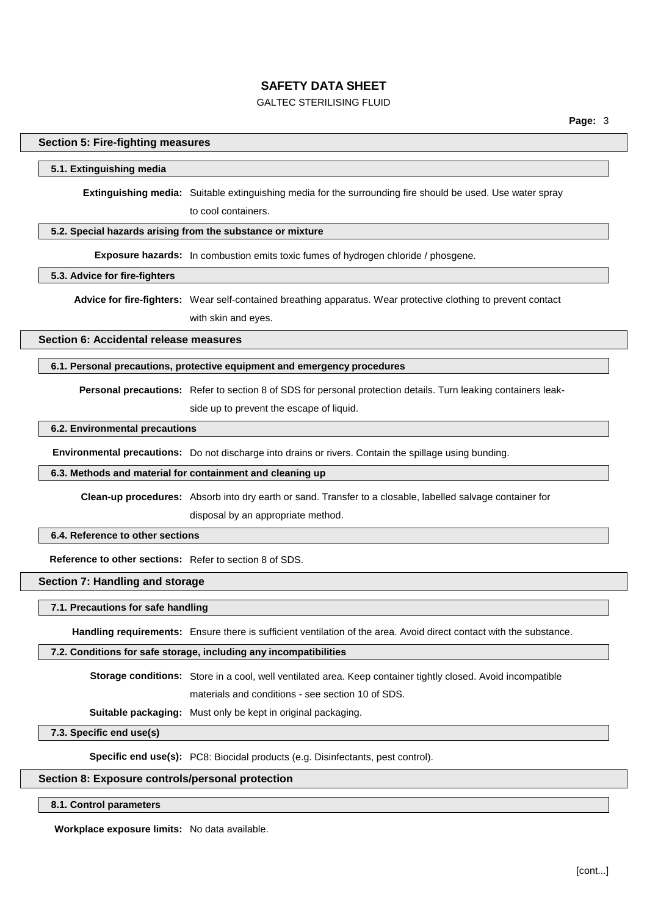## GALTEC STERILISING FLUID

### **Section 5: Fire-fighting measures**

#### **5.1. Extinguishing media**

**Extinguishing media:** Suitable extinguishing media for the surrounding fire should be used. Use water spray to cool containers.

## **5.2. Special hazards arising from the substance or mixture**

**Exposure hazards:** In combustion emits toxic fumes of hydrogen chloride / phosgene.

## **5.3. Advice for fire-fighters**

**Advice for fire-fighters:** Wear self-contained breathing apparatus. Wear protective clothing to prevent contact with skin and eyes.

**Section 6: Accidental release measures**

## **6.1. Personal precautions, protective equipment and emergency procedures**

**Personal precautions:** Refer to section 8 of SDS for personal protection details. Turn leaking containers leak-

side up to prevent the escape of liquid.

## **6.2. Environmental precautions**

**Environmental precautions:** Do not discharge into drains or rivers. Contain the spillage using bunding.

#### **6.3. Methods and material for containment and cleaning up**

**Clean-up procedures:** Absorb into dry earth or sand. Transfer to a closable, labelled salvage container for disposal by an appropriate method.

## **6.4. Reference to other sections**

**Reference to other sections:** Refer to section 8 of SDS.

## **Section 7: Handling and storage**

#### **7.1. Precautions for safe handling**

**Handling requirements:** Ensure there is sufficient ventilation of the area. Avoid direct contact with the substance.

#### **7.2. Conditions for safe storage, including any incompatibilities**

**Storage conditions:** Store in a cool, well ventilated area. Keep container tightly closed. Avoid incompatible

materials and conditions - see section 10 of SDS.

**Suitable packaging:** Must only be kept in original packaging.

## **7.3. Specific end use(s)**

**Specific end use(s):** PC8: Biocidal products (e.g. Disinfectants, pest control).

## **Section 8: Exposure controls/personal protection**

## **8.1. Control parameters**

**Workplace exposure limits:** No data available.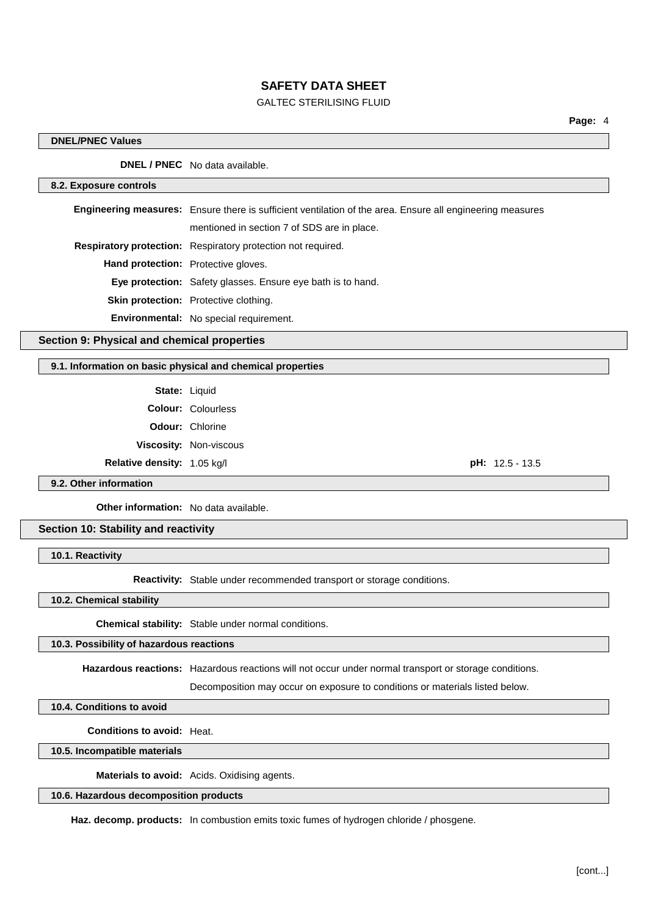## GALTEC STERILISING FLUID

#### **DNEL/PNEC Values**

**DNEL / PNEC** No data available.

#### **8.2. Exposure controls**

**Engineering measures:** Ensure there is sufficient ventilation of the area. Ensure all engineering measures mentioned in section 7 of SDS are in place. **Respiratory protection:** Respiratory protection not required. **Hand protection:** Protective gloves. **Eye protection:** Safety glasses. Ensure eye bath is to hand. **Skin protection:** Protective clothing. **Environmental:** No special requirement.

## **Section 9: Physical and chemical properties**

## **9.1. Information on basic physical and chemical properties**

State: Liquid

**Colour:** Colourless **Odour:** Chlorine **Viscosity:** Non-viscous

**Relative density:** 1.05 kg/l **pH:** 12.5 - 13.5

## **9.2. Other information**

**Other information:** No data available.

## **Section 10: Stability and reactivity**

**10.1. Reactivity**

**Reactivity:** Stable under recommended transport or storage conditions.

**10.2. Chemical stability**

**Chemical stability:** Stable under normal conditions.

#### **10.3. Possibility of hazardous reactions**

**Hazardous reactions:** Hazardous reactions will not occur under normal transport or storage conditions.

Decomposition may occur on exposure to conditions or materials listed below.

**10.4. Conditions to avoid**

**Conditions to avoid:** Heat.

**10.5. Incompatible materials**

**Materials to avoid:** Acids. Oxidising agents.

**10.6. Hazardous decomposition products**

Haz. decomp. products: In combustion emits toxic fumes of hydrogen chloride / phosgene.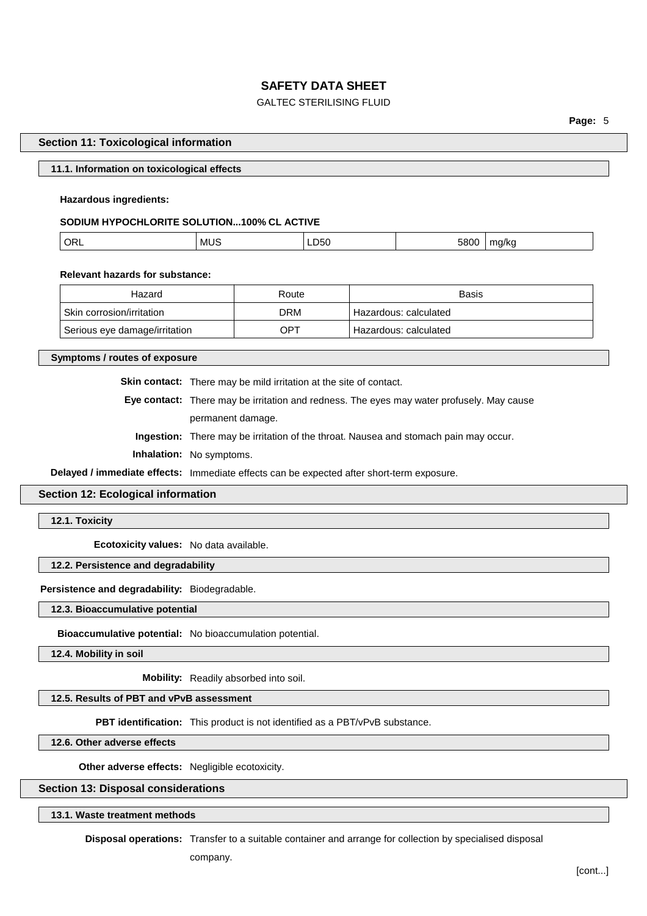## GALTEC STERILISING FLUID

**Page:** 5

#### **Section 11: Toxicological information**

#### **11.1. Information on toxicological effects**

## **Hazardous ingredients:**

## **SODIUM HYPOCHLORITE SOLUTION...100% CL ACTIVE**

| ORL | MUS<br>__ | 11<br>LDOU<br>$- - -$ | $-0.00$<br>. | .<br>'NU<br>. . |
|-----|-----------|-----------------------|--------------|-----------------|
|     |           |                       |              |                 |

#### **Relevant hazards for substance:**

| Hazard                        | Route | <b>Basis</b>            |
|-------------------------------|-------|-------------------------|
| Skin corrosion/irritation     | DRM   | Hazardous: calculated   |
| Serious eye damage/irritation | OPT   | ⊦ Hazardous: calculated |

**Symptoms / routes of exposure**

**Skin contact:** There may be mild irritation at the site of contact.

**Eye contact:** There may be irritation and redness. The eyes may water profusely. May cause permanent damage.

**Ingestion:** There may be irritation of the throat. Nausea and stomach pain may occur.

**Inhalation:** No symptoms.

**Delayed / immediate effects:** Immediate effects can be expected after short-term exposure.

## **Section 12: Ecological information**

#### **12.1. Toxicity**

**Ecotoxicity values:** No data available.

## **12.2. Persistence and degradability**

## **Persistence and degradability:** Biodegradable.

**12.3. Bioaccumulative potential**

**Bioaccumulative potential:** No bioaccumulation potential.

**12.4. Mobility in soil**

**Mobility:** Readily absorbed into soil.

## **12.5. Results of PBT and vPvB assessment**

**PBT identification:** This product is not identified as a PBT/vPvB substance.

**12.6. Other adverse effects**

**Other adverse effects:** Negligible ecotoxicity.

## **Section 13: Disposal considerations**

**13.1. Waste treatment methods**

**Disposal operations:** Transfer to a suitable container and arrange for collection by specialised disposal